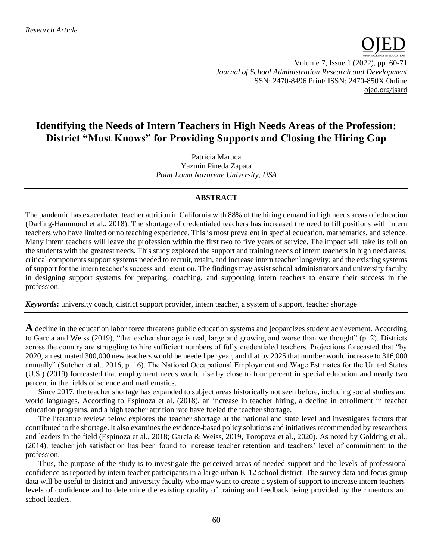

Volume 7, Issue 1 (2022), pp. 60-71 *Journal of School Administration Research and Development* ISSN: 2470-8496 Print/ ISSN: 2470-850X Online [ojed.org/jsard](https://www.ojed.org/index.php/JSARD)

# **Identifying the Needs of Intern Teachers in High Needs Areas of the Profession: District "Must Knows" for Providing Supports and Closing the Hiring Gap**

Patricia Maruca Yazmin Pineda Zapata *Point Loma Nazarene University, USA*

# **ABSTRACT**

The pandemic has exacerbated teacher attrition in California with 88% of the hiring demand in high needs areas of education (Darling-Hammond et al., 2018). The shortage of credentialed teachers has increased the need to fill positions with intern teachers who have limited or no teaching experience. This is most prevalent in special education, mathematics, and science. Many intern teachers will leave the profession within the first two to five years of service. The impact will take its toll on the students with the greatest needs. This study explored the support and training needs of intern teachers in high need areas; critical components support systems needed to recruit, retain, and increase intern teacher longevity; and the existing systems of support for the intern teacher's success and retention. The findings may assist school administrators and university faculty in designing support systems for preparing, coaching, and supporting intern teachers to ensure their success in the profession.

*Keywords***:** university coach, district support provider, intern teacher, a system of support, teacher shortage

**A** decline in the education labor force threatens public education systems and jeopardizes student achievement. According to Garcia and Weiss (2019), "the teacher shortage is real, large and growing and worse than we thought" (p. 2). Districts across the country are struggling to hire sufficient numbers of fully credentialed teachers. Projections forecasted that "by 2020, an estimated 300,000 new teachers would be needed per year, and that by 2025 that number would increase to 316,000 annually" (Sutcher et al., 2016, p. 16). The National Occupational Employment and Wage Estimates for the United States (U.S.) (2019) forecasted that employment needs would rise by close to four percent in special education and nearly two percent in the fields of science and mathematics.

Since 2017, the teacher shortage has expanded to subject areas historically not seen before, including social studies and world languages. According to Espinoza et al. (2018), an increase in teacher hiring, a decline in enrollment in teacher education programs, and a high teacher attrition rate have fueled the teacher shortage.

The literature review below explores the teacher shortage at the national and state level and investigates factors that contributed to the shortage. It also examines the evidence-based policy solutions and initiatives recommended by researchers and leaders in the field (Espinoza et al., 2018; Garcia & Weiss, 2019, Toropova et al., 2020). As noted by Goldring et al., (2014), teacher job satisfaction has been found to increase teacher retention and teachers' level of commitment to the profession.

Thus, the purpose of the study is to investigate the perceived areas of needed support and the levels of professional confidence as reported by intern teacher participants in a large urban K-12 school district. The survey data and focus group data will be useful to district and university faculty who may want to create a system of support to increase intern teachers' levels of confidence and to determine the existing quality of training and feedback being provided by their mentors and school leaders.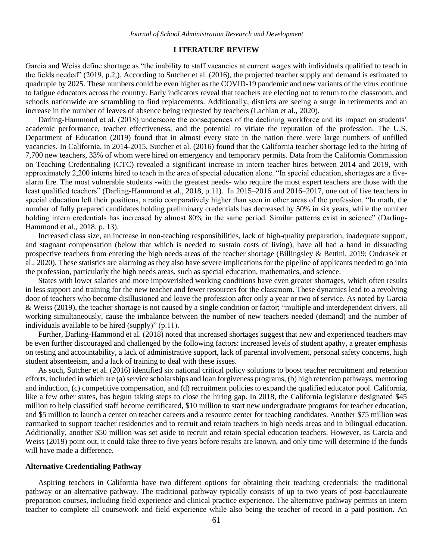#### **LITERATURE REVIEW**

Garcia and Weiss define shortage as "the inability to staff vacancies at current wages with individuals qualified to teach in the fields needed" (2019, p.2,). According to Sutcher et al. (2016), the projected teacher supply and demand is estimated to quadruple by 2025. These numbers could be even higher as the COVID-19 pandemic and new variants of the virus continue to fatigue educators across the country. Early indicators reveal that teachers are electing not to return to the classroom, and schools nationwide are scrambling to find replacements. Additionally, districts are seeing a surge in retirements and an increase in the number of leaves of absence being requested by teachers (Lachlan et al., 2020).

Darling-Hammond et al. (2018) underscore the consequences of the declining workforce and its impact on students' academic performance, teacher effectiveness, and the potential to vitiate the reputation of the profession. The U.S. Department of Education (2019) found that in almost every state in the nation there were large numbers of unfilled vacancies. In California, in 2014-2015, Sutcher et al. (2016) found that the California teacher shortage led to the hiring of 7,700 new teachers, 33% of whom were hired on emergency and temporary permits. Data from the California Commission on Teaching Credentialing (CTC) revealed a significant increase in intern teacher hires between 2014 and 2019, with approximately 2,200 interns hired to teach in the area of special education alone. "In special education, shortages are a fivealarm fire. The most vulnerable students -with the greatest needs- who require the most expert teachers are those with the least qualified teachers" (Darling-Hammond et al., 2018, p.11). In 2015–2016 and 2016–2017, one out of five teachers in special education left their positions, a ratio comparatively higher than seen in other areas of the profession. "In math, the number of fully prepared candidates holding preliminary credentials has decreased by 50% in six years, while the number holding intern credentials has increased by almost 80% in the same period. Similar patterns exist in science" (Darling-Hammond et al., 2018. p. 13).

Increased class size, an increase in non-teaching responsibilities, lack of high-quality preparation, inadequate support, and stagnant compensation (below that which is needed to sustain costs of living), have all had a hand in dissuading prospective teachers from entering the high needs areas of the teacher shortage (Billingsley & Bettini, 2019; Ondrasek et al., 2020). These statistics are alarming as they also have severe implications for the pipeline of applicants needed to go into the profession, particularly the high needs areas, such as special education, mathematics, and science.

States with lower salaries and more impoverished working conditions have even greater shortages, which often results in less support and training for the new teacher and fewer resources for the classroom. These dynamics lead to a revolving door of teachers who become disillusioned and leave the profession after only a year or two of service. As noted by Garcia & Weiss (2019), the teacher shortage is not caused by a single condition or factor; "multiple and interdependent drivers, all working simultaneously, cause the imbalance between the number of new teachers needed (demand) and the number of individuals available to be hired (supply)" (p.11).

Further, Darling-Hammond et al. (2018) noted that increased shortages suggest that new and experienced teachers may be even further discouraged and challenged by the following factors: increased levels of student apathy, a greater emphasis on testing and accountability, a lack of administrative support, lack of parental involvement, personal safety concerns, high student absenteeism, and a lack of training to deal with these issues.

As such, Sutcher et al. (2016) identified six national critical policy solutions to boost teacher recruitment and retention efforts, included in which are (a) service scholarships and loan forgiveness programs, (b) high retention pathways, mentoring and induction, (c) competitive compensation, and (d) recruitment policies to expand the qualified educator pool. California, like a few other states, has begun taking steps to close the hiring gap. In 2018, the California legislature designated \$45 million to help classified staff become certificated, \$10 million to start new undergraduate programs for teacher education, and \$5 million to launch a center on teacher careers and a resource center for teaching candidates. Another \$75 million was earmarked to support teacher residencies and to recruit and retain teachers in high needs areas and in bilingual education. Additionally, another \$50 million was set aside to recruit and retain special education teachers. However, as Garcia and Weiss (2019) point out, it could take three to five years before results are known, and only time will determine if the funds will have made a difference.

#### **Alternative Credentialing Pathway**

Aspiring teachers in California have two different options for obtaining their teaching credentials: the traditional pathway or an alternative pathway. The traditional pathway typically consists of up to two years of post-baccalaureate preparation courses, including field experience and clinical practice experience. The alternative pathway permits an intern teacher to complete all coursework and field experience while also being the teacher of record in a paid position. An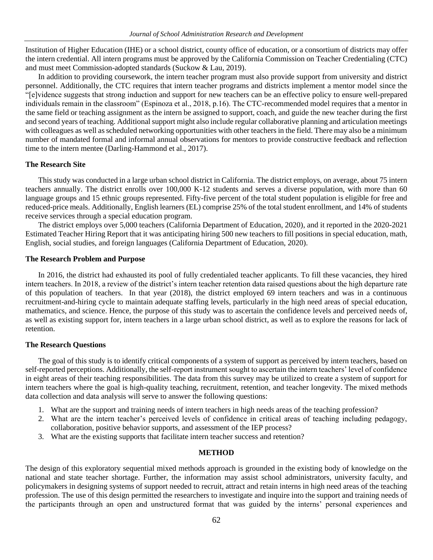Institution of Higher Education (IHE) or a school district, county office of education, or a consortium of districts may offer the intern credential. All intern programs must be approved by the California Commission on Teacher Credentialing (CTC) and must meet Commission-adopted standards (Suckow & Lau, 2019).

In addition to providing coursework, the intern teacher program must also provide support from university and district personnel. Additionally, the CTC requires that intern teacher programs and districts implement a mentor model since the "[e]vidence suggests that strong induction and support for new teachers can be an effective policy to ensure well-prepared individuals remain in the classroom" (Espinoza et al., 2018, p.16). The CTC-recommended model requires that a mentor in the same field or teaching assignment as the intern be assigned to support, coach, and guide the new teacher during the first and second years of teaching. Additional support might also include regular collaborative planning and articulation meetings with colleagues as well as scheduled networking opportunities with other teachers in the field. There may also be a minimum number of mandated formal and informal annual observations for mentors to provide constructive feedback and reflection time to the intern mentee (Darling-Hammond et al., 2017).

#### **The Research Site**

This study was conducted in a large urban school district in California. The district employs, on average, about 75 intern teachers annually. The district enrolls over 100,000 K-12 students and serves a diverse population, with more than 60 language groups and 15 ethnic groups represented. Fifty-five percent of the total student population is eligible for free and reduced-price meals. Additionally, English learners (EL) comprise 25% of the total student enrollment, and 14% of students receive services through a special education program.

The district employs over 5,000 teachers (California Department of Education, 2020), and it reported in the 2020-2021 Estimated Teacher Hiring Report that it was anticipating hiring 500 new teachers to fill positions in special education, math, English, social studies, and foreign languages (California Department of Education, 2020).

# **The Research Problem and Purpose**

In 2016, the district had exhausted its pool of fully credentialed teacher applicants. To fill these vacancies, they hired intern teachers. In 2018, a review of the district's intern teacher retention data raised questions about the high departure rate of this population of teachers. In that year (2018), the district employed 69 intern teachers and was in a continuous recruitment-and-hiring cycle to maintain adequate staffing levels, particularly in the high need areas of special education, mathematics, and science. Hence, the purpose of this study was to ascertain the confidence levels and perceived needs of, as well as existing support for, intern teachers in a large urban school district, as well as to explore the reasons for lack of retention.

# **The Research Questions**

The goal of this study is to identify critical components of a system of support as perceived by intern teachers, based on self-reported perceptions. Additionally, the self-report instrument sought to ascertain the intern teachers' level of confidence in eight areas of their teaching responsibilities. The data from this survey may be utilized to create a system of support for intern teachers where the goal is high-quality teaching, recruitment, retention, and teacher longevity. The mixed methods data collection and data analysis will serve to answer the following questions:

- 1. What are the support and training needs of intern teachers in high needs areas of the teaching profession?
- 2. What are the intern teacher's perceived levels of confidence in critical areas of teaching including pedagogy, collaboration, positive behavior supports, and assessment of the IEP process?
- 3. What are the existing supports that facilitate intern teacher success and retention?

#### **METHOD**

The design of this exploratory sequential mixed methods approach is grounded in the existing body of knowledge on the national and state teacher shortage. Further, the information may assist school administrators, university faculty, and policymakers in designing systems of support needed to recruit, attract and retain interns in high need areas of the teaching profession. The use of this design permitted the researchers to investigate and inquire into the support and training needs of the participants through an open and unstructured format that was guided by the interns' personal experiences and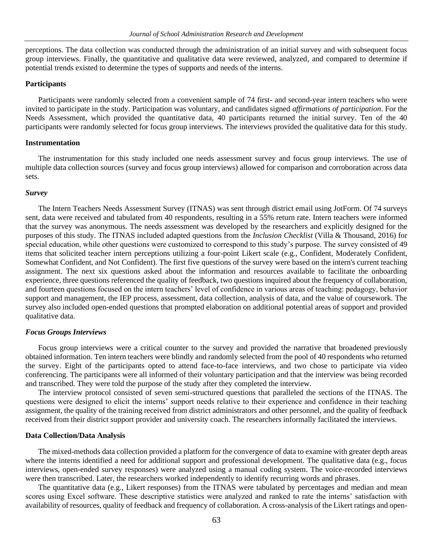perceptions. The data collection was conducted through the administration of an initial survey and with subsequent focus group interviews. Finally, the quantitative and qualitative data were reviewed, analyzed, and compared to determine if potential trends existed to determine the types of supports and needs of the interns.

# **Participants**

Participants were randomly selected from a convenient sample of 74 first- and second-year intern teachers who were invited to participate in the study. Participation was voluntary, and candidates signed *affirmations of participation*. For the Needs Assessment, which provided the quantitative data, 40 participants returned the initial survey. Ten of the 40 participants were randomly selected for focus group interviews. The interviews provided the qualitative data for this study.

#### **Instrumentation**

The instrumentation for this study included one needs assessment survey and focus group interviews. The use of multiple data collection sources (survey and focus group interviews) allowed for comparison and corroboration across data sets.

#### *Survey*

The Intern Teachers Needs Assessment Survey (ITNAS) was sent through district email using JotForm. Of 74 surveys sent, data were received and tabulated from 40 respondents, resulting in a 55% return rate. Intern teachers were informed that the survey was anonymous. The needs assessment was developed by the researchers and explicitly designed for the purposes of this study. The ITNAS included adapted questions from the *Inclusion Checklist* (Villa & Thousand, 2016) for special education, while other questions were customized to correspond to this study's purpose. The survey consisted of 49 items that solicited teacher intern perceptions utilizing a four-point Likert scale (e.g., Confident, Moderately Confident, Somewhat Confident, and Not Confident). The first five questions of the survey were based on the intern's current teaching assignment. The next six questions asked about the information and resources available to facilitate the onboarding experience, three questions referenced the quality of feedback, two questions inquired about the frequency of collaboration, and fourteen questions focused on the intern teachers' level of confidence in various areas of teaching: pedagogy, behavior support and management, the IEP process, assessment, data collection, analysis of data, and the value of coursework. The survey also included open-ended questions that prompted elaboration on additional potential areas of support and provided qualitative data.

#### *Focus Groups Interviews*

Focus group interviews were a critical counter to the survey and provided the narrative that broadened previously obtained information. Ten intern teachers were blindly and randomly selected from the pool of 40 respondents who returned the survey. Eight of the participants opted to attend face-to-face interviews, and two chose to participate via video conferencing. The participants were all informed of their voluntary participation and that the interview was being recorded and transcribed. They were told the purpose of the study after they completed the interview.

The interview protocol consisted of seven semi-structured questions that paralleled the sections of the ITNAS. The questions were designed to elicit the interns' support needs relative to their experience and confidence in their teaching assignment, the quality of the training received from district administrators and other personnel, and the quality of feedback received from their district support provider and university coach. The researchers informally facilitated the interviews.

#### **Data Collection/Data Analysis**

The mixed-methods data collection provided a platform for the convergence of data to examine with greater depth areas where the interns identified a need for additional support and professional development. The qualitative data (e.g., focus interviews, open-ended survey responses) were analyzed using a manual coding system. The voice-recorded interviews were then transcribed. Later, the researchers worked independently to identify recurring words and phrases.

The quantitative data (e.g., Likert responses) from the ITNAS were tabulated by percentages and median and mean scores using Excel software. These descriptive statistics were analyzed and ranked to rate the interns' satisfaction with availability of resources, quality of feedback and frequency of collaboration. A cross-analysis of the Likert ratings and open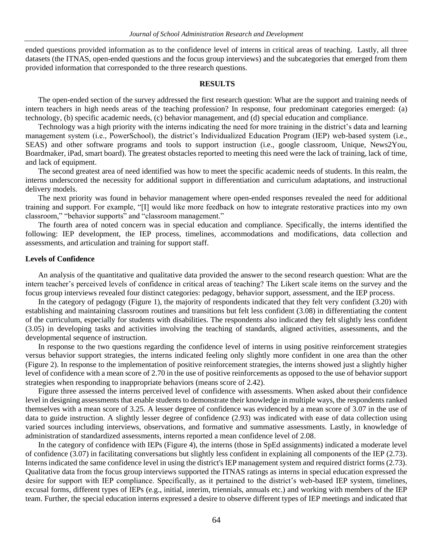ended questions provided information as to the confidence level of interns in critical areas of teaching. Lastly, all three datasets (the ITNAS, open-ended questions and the focus group interviews) and the subcategories that emerged from them provided information that corresponded to the three research questions.

#### **RESULTS**

The open-ended section of the survey addressed the first research question: What are the support and training needs of intern teachers in high needs areas of the teaching profession? In response, four predominant categories emerged: (a) technology, (b) specific academic needs, (c) behavior management, and (d) special education and compliance.

Technology was a high priority with the interns indicating the need for more training in the district's data and learning management system (i.e., PowerSchool), the district's Individualized Education Program (IEP) web-based system (i.e., SEAS) and other software programs and tools to support instruction (i.e., google classroom, Unique, News2You, Boardmaker, iPad, smart board). The greatest obstacles reported to meeting this need were the lack of training, lack of time, and lack of equipment.

The second greatest area of need identified was how to meet the specific academic needs of students. In this realm, the interns underscored the necessity for additional support in differentiation and curriculum adaptations, and instructional delivery models.

The next priority was found in behavior management where open-ended responses revealed the need for additional training and support. For example, "[I] would like more feedback on how to integrate restorative practices into my own classroom," "behavior supports" and "classroom management."

The fourth area of noted concern was in special education and compliance. Specifically, the interns identified the following: IEP development, the IEP process, timelines, accommodations and modifications, data collection and assessments, and articulation and training for support staff.

#### **Levels of Confidence**

An analysis of the quantitative and qualitative data provided the answer to the second research question: What are the intern teacher's perceived levels of confidence in critical areas of teaching? The Likert scale items on the survey and the focus group interviews revealed four distinct categories: pedagogy, behavior support, assessment, and the IEP process.

In the category of pedagogy (Figure 1), the majority of respondents indicated that they felt very confident (3.20) with establishing and maintaining classroom routines and transitions but felt less confident (3.08) in differentiating the content of the curriculum, especially for students with disabilities. The respondents also indicated they felt slightly less confident (3.05) in developing tasks and activities involving the teaching of standards, aligned activities, assessments, and the developmental sequence of instruction.

In response to the two questions regarding the confidence level of interns in using positive reinforcement strategies versus behavior support strategies, the interns indicated feeling only slightly more confident in one area than the other (Figure 2). In response to the implementation of positive reinforcement strategies, the interns showed just a slightly higher level of confidence with a mean score of 2.70 in the use of positive reinforcements as opposed to the use of behavior support strategies when responding to inappropriate behaviors (means score of 2.42).

Figure three assessed the interns perceived level of confidence with assessments. When asked about their confidence level in designing assessments that enable students to demonstrate their knowledge in multiple ways, the respondents ranked themselves with a mean score of 3.25. A lesser degree of confidence was evidenced by a mean score of 3.07 in the use of data to guide instruction. A slightly lesser degree of confidence (2.93) was indicated with ease of data collection using varied sources including interviews, observations, and formative and summative assessments. Lastly, in knowledge of administration of standardized assessments, interns reported a mean confidence level of 2.08.

In the category of confidence with IEPs (Figure 4), the interns (those in SpEd assignments) indicated a moderate level of confidence (3.07) in facilitating conversations but slightly less confident in explaining all components of the IEP (2.73). Interns indicated the same confidence level in using the district's IEP management system and required district forms (2.73). Qualitative data from the focus group interviews supported the ITNAS ratings as interns in special education expressed the desire for support with IEP compliance. Specifically, as it pertained to the district's web-based IEP system, timelines, excusal forms, different types of IEPs (e.g., initial, interim, triennials, annuals etc.) and working with members of the IEP team. Further, the special education interns expressed a desire to observe different types of IEP meetings and indicated that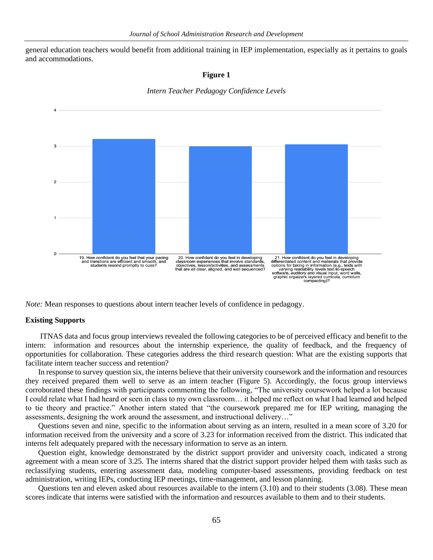general education teachers would benefit from additional training in IEP implementation, especially as it pertains to goals and accommodations.

#### **Figure 1**

*Intern Teacher Pedagogy Confidence Levels*



*Note:* Mean responses to questions about intern teacher levels of confidence in pedagogy.

#### **Existing Supports**

ITNAS data and focus group interviews revealed the following categories to be of perceived efficacy and benefit to the intern: information and resources about the internship experience, the quality of feedback, and the frequency of opportunities for collaboration. These categories address the third research question: What are the existing supports that facilitate intern teacher success and retention?

In response to survey question six, the interns believe that their university coursework and the information and resources they received prepared them well to serve as an intern teacher (Figure 5). Accordingly, the focus group interviews corroborated these findings with participants commenting the following, "The university coursework helped a lot because I could relate what I had heard or seen in class to my own classroom… it helped me reflect on what I had learned and helped to tie theory and practice." Another intern stated that "the coursework prepared me for IEP writing, managing the assessments, designing the work around the assessment, and instructional delivery…"

Questions seven and nine, specific to the information about serving as an intern, resulted in a mean score of 3.20 for information received from the university and a score of 3.23 for information received from the district. This indicated that interns felt adequately prepared with the necessary information to serve as an intern.

Question eight, knowledge demonstrated by the district support provider and university coach, indicated a strong agreement with a mean score of 3.25. The interns shared that the district support provider helped them with tasks such as reclassifying students, entering assessment data, modeling computer-based assessments, providing feedback on test administration, writing IEPs, conducting IEP meetings, time-management, and lesson planning.

Questions ten and eleven asked about resources available to the intern (3.10) and to their students (3.08). These mean scores indicate that interns were satisfied with the information and resources available to them and to their students.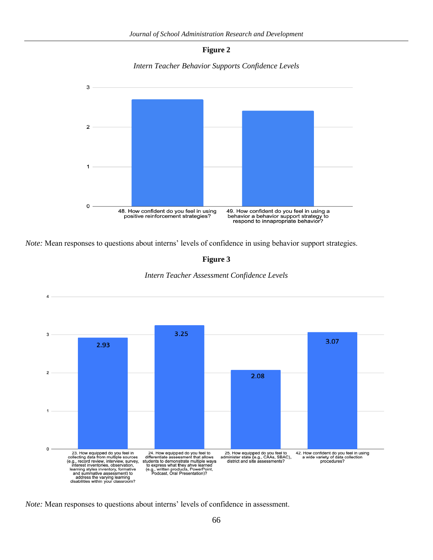

*Intern Teacher Behavior Supports Confidence Levels*



*Note:* Mean responses to questions about interns' levels of confidence in using behavior support strategies.

**Figure 3**





*Note:* Mean responses to questions about interns' levels of confidence in assessment.

 $\overline{4}$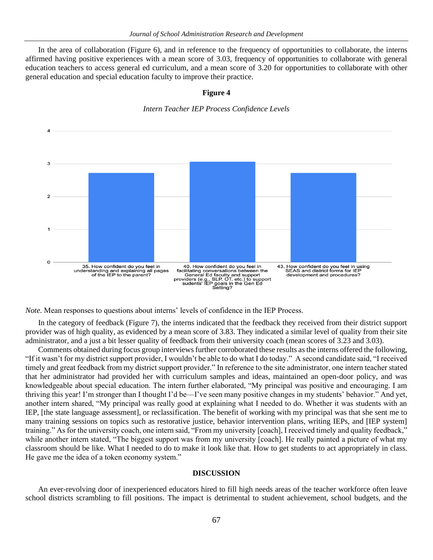In the area of collaboration (Figure 6), and in reference to the frequency of opportunities to collaborate, the interns affirmed having positive experiences with a mean score of 3.03, frequency of opportunities to collaborate with general education teachers to access general ed curriculum, and a mean score of 3.20 for opportunities to collaborate with other general education and special education faculty to improve their practice.

# $\overline{A}$ 3  $\overline{2}$  $\Omega$ 40. How confident do you feel in<br>facilitating conversations between the<br>General Ed faculty and support<br>providers (e.g., SLP, OT, etc.) to support<br>sudents' IEP goals in the Gen Ed<br>Setting? 35. How confident do you feel in<br>understanding and explaining all pages<br>of the IEP to the parent? 43. How confident do you feel in using<br>SEAS and district forms for IEP development and procedures? providers (e.g., 5<br>Sudents' IEP

**Figure 4**

*Intern Teacher IEP Process Confidence Levels*

*Note.* Mean responses to questions about interns' levels of confidence in the IEP Process.

In the category of feedback (Figure 7), the interns indicated that the feedback they received from their district support provider was of high quality, as evidenced by a mean score of 3.83. They indicated a similar level of quality from their site administrator, and a just a bit lesser quality of feedback from their university coach (mean scores of 3.23 and 3.03).

Comments obtained during focus group interviews further corroborated these results as the interns offered the following, "If it wasn't for my district support provider, I wouldn't be able to do what I do today." A second candidate said, "I received timely and great feedback from my district support provider." In reference to the site administrator, one intern teacher stated that her administrator had provided her with curriculum samples and ideas, maintained an open-door policy, and was knowledgeable about special education. The intern further elaborated, "My principal was positive and encouraging. I am thriving this year! I'm stronger than I thought I'd be—I've seen many positive changes in my students' behavior." And yet, another intern shared, "My principal was really good at explaining what I needed to do. Whether it was students with an IEP, [the state language assessment], or reclassification. The benefit of working with my principal was that she sent me to many training sessions on topics such as restorative justice, behavior intervention plans, writing IEPs, and [IEP system] training." As for the university coach, one intern said, "From my university [coach], I received timely and quality feedback," while another intern stated, "The biggest support was from my university [coach]. He really painted a picture of what my classroom should be like. What I needed to do to make it look like that. How to get students to act appropriately in class. He gave me the idea of a token economy system."

#### **DISCUSSION**

An ever-revolving door of inexperienced educators hired to fill high needs areas of the teacher workforce often leave school districts scrambling to fill positions. The impact is detrimental to student achievement, school budgets, and the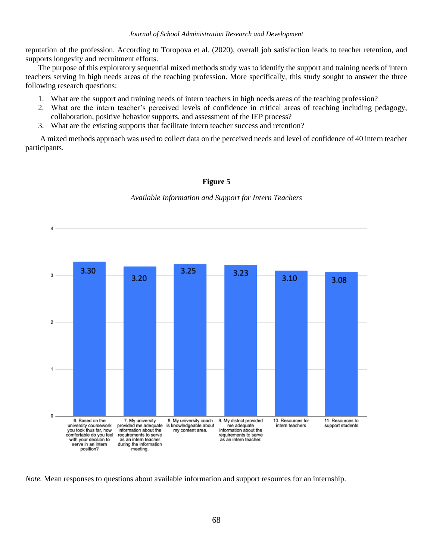reputation of the profession. According to Toropova et al. (2020), overall job satisfaction leads to teacher retention, and supports longevity and recruitment efforts.

The purpose of this exploratory sequential mixed methods study was to identify the support and training needs of intern teachers serving in high needs areas of the teaching profession. More specifically, this study sought to answer the three following research questions:

- 1. What are the support and training needs of intern teachers in high needs areas of the teaching profession?
- 2. What are the intern teacher's perceived levels of confidence in critical areas of teaching including pedagogy, collaboration, positive behavior supports, and assessment of the IEP process?
- 3. What are the existing supports that facilitate intern teacher success and retention?

A mixed methods approach was used to collect data on the perceived needs and level of confidence of 40 intern teacher participants.

# **Figure 5**

#### *Available Information and Support for Intern Teachers*



*Note.* Mean responses to questions about available information and support resources for an internship.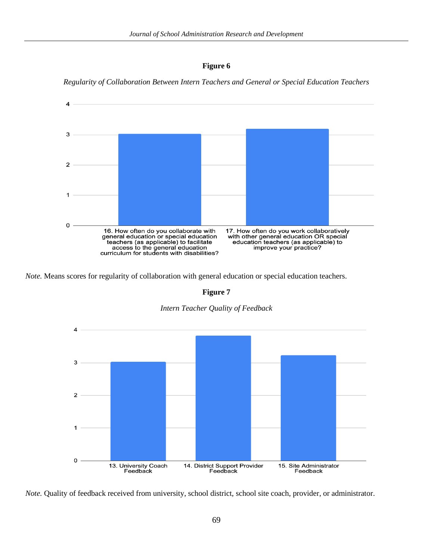



*Regularity of Collaboration Between Intern Teachers and General or Special Education Teachers*

*Note.* Means scores for regularity of collaboration with general education or special education teachers.

#### **Figure 7**





*Note.* Quality of feedback received from university, school district, school site coach, provider, or administrator.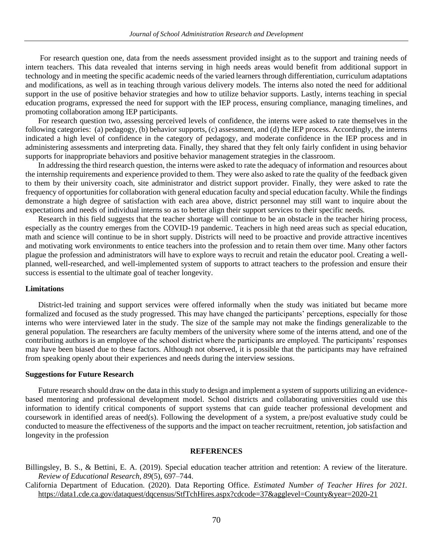For research question one, data from the needs assessment provided insight as to the support and training needs of intern teachers. This data revealed that interns serving in high needs areas would benefit from additional support in technology and in meeting the specific academic needs of the varied learners through differentiation, curriculum adaptations and modifications, as well as in teaching through various delivery models. The interns also noted the need for additional support in the use of positive behavior strategies and how to utilize behavior supports. Lastly, interns teaching in special education programs, expressed the need for support with the IEP process, ensuring compliance, managing timelines, and promoting collaboration among IEP participants.

For research question two, assessing perceived levels of confidence, the interns were asked to rate themselves in the following categories: (a) pedagogy, (b) behavior supports, (c) assessment, and (d) the IEP process. Accordingly, the interns indicated a high level of confidence in the category of pedagogy, and moderate confidence in the IEP process and in administering assessments and interpreting data. Finally, they shared that they felt only fairly confident in using behavior supports for inappropriate behaviors and positive behavior management strategies in the classroom.

In addressing the third research question, the interns were asked to rate the adequacy of information and resources about the internship requirements and experience provided to them. They were also asked to rate the quality of the feedback given to them by their university coach, site administrator and district support provider. Finally, they were asked to rate the frequency of opportunities for collaboration with general education faculty and special education faculty. While the findings demonstrate a high degree of satisfaction with each area above, district personnel may still want to inquire about the expectations and needs of individual interns so as to better align their support services to their specific needs.

Research in this field suggests that the teacher shortage will continue to be an obstacle in the teacher hiring process, especially as the country emerges from the COVID-19 pandemic. Teachers in high need areas such as special education, math and science will continue to be in short supply. Districts will need to be proactive and provide attractive incentives and motivating work environments to entice teachers into the profession and to retain them over time. Many other factors plague the profession and administrators will have to explore ways to recruit and retain the educator pool. Creating a wellplanned, well-researched, and well-implemented system of supports to attract teachers to the profession and ensure their success is essential to the ultimate goal of teacher longevity.

## **Limitations**

District-led training and support services were offered informally when the study was initiated but became more formalized and focused as the study progressed. This may have changed the participants' perceptions, especially for those interns who were interviewed later in the study. The size of the sample may not make the findings generalizable to the general population. The researchers are faculty members of the university where some of the interns attend, and one of the contributing authors is an employee of the school district where the participants are employed. The participants' responses may have been biased due to these factors. Although not observed, it is possible that the participants may have refrained from speaking openly about their experiences and needs during the interview sessions.

#### **Suggestions for Future Research**

Future research should draw on the data in this study to design and implement a system of supports utilizing an evidencebased mentoring and professional development model. School districts and collaborating universities could use this information to identify critical components of support systems that can guide teacher professional development and coursework in identified areas of need(s). Following the development of a system, a pre/post evaluative study could be conducted to measure the effectiveness of the supports and the impact on teacher recruitment, retention, job satisfaction and longevity in the profession

# **REFERENCES**

Billingsley, B. S., & Bettini, E. A. (2019). Special education teacher attrition and retention: A review of the literature. *Review of Educational Research*, *89*(5), 697–744.

California Department of Education. (2020). Data Reporting Office. *Estimated Number of Teacher Hires for 2021.*  <https://data1.cde.ca.gov/dataquest/dqcensus/StfTchHires.aspx?cdcode=37&agglevel=Count>[y&year=2020-21](https://data1.cde.ca.gov/dataquest/dqcensus/StfTchHires.aspx?cdcode=37&agglevel=County&year=2020-21)